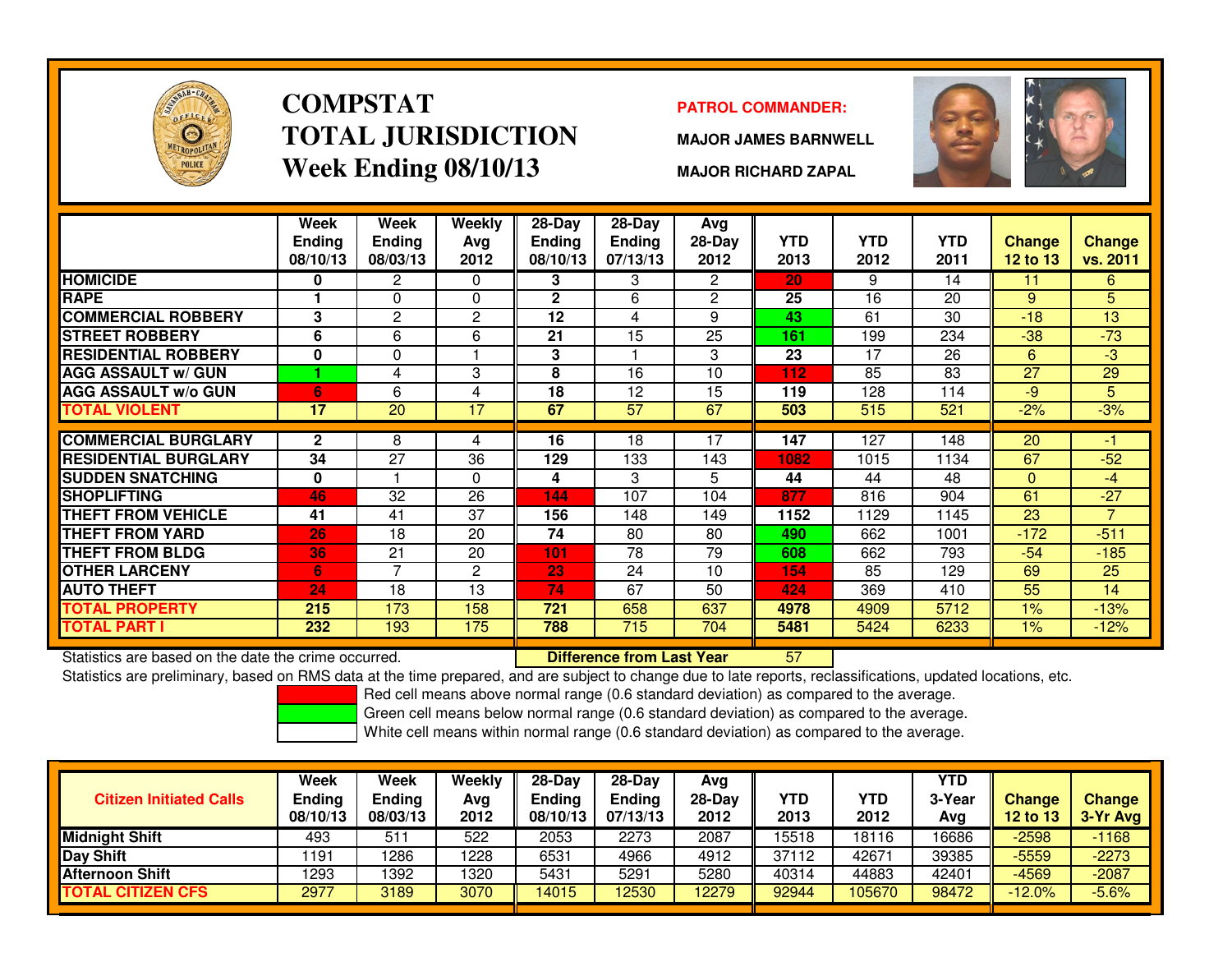

### **COMPSTATTOTAL JURISDICTIONWeek Ending 08/10/13**

### **PATROL COMMANDER:**

**MAJOR JAMES BARNWELL**



**MAJOR RICHARD ZAPAL**

|                                                      | Week<br><b>Ending</b><br>08/10/13 | Week<br><b>Ending</b><br>08/03/13 | Weekly<br>Avg<br>2012 | 28-Day<br><b>Ending</b><br>08/10/13 | $28-Day$<br>Ending<br>07/13/13   | Avg<br>28-Day<br>2012 | <b>YTD</b><br>2013 | <b>YTD</b><br>2012 | <b>YTD</b><br>2011 | <b>Change</b><br><b>12 to 13</b> | <b>Change</b><br>vs. 2011 |
|------------------------------------------------------|-----------------------------------|-----------------------------------|-----------------------|-------------------------------------|----------------------------------|-----------------------|--------------------|--------------------|--------------------|----------------------------------|---------------------------|
| <b>HOMICIDE</b>                                      | 0                                 | 2                                 | $\Omega$              | 3                                   | 3                                | $\mathbf{2}^{\circ}$  | 20                 | 9                  | 14                 | 11                               | 6                         |
| <b>RAPE</b>                                          |                                   | 0                                 | $\Omega$              | $\overline{2}$                      | 6                                | $\overline{2}$        | 25                 | 16                 | 20                 | 9                                | 5                         |
| <b>COMMERCIAL ROBBERY</b>                            | 3                                 | 2                                 | $\overline{2}$        | 12                                  | 4                                | 9                     | 43                 | 61                 | 30                 | $-18$                            | 13                        |
| <b>STREET ROBBERY</b>                                | 6                                 | 6                                 | 6                     | 21                                  | 15                               | 25                    | 161                | 199                | 234                | $-38$                            | $-73$                     |
| <b>RESIDENTIAL ROBBERY</b>                           | 0                                 | 0                                 |                       | 3                                   |                                  | 3                     | 23                 | 17                 | 26                 | 6                                | $-3$                      |
| <b>AGG ASSAULT w/ GUN</b>                            |                                   | 4                                 | 3                     | 8                                   | 16                               | 10                    | 112                | 85                 | 83                 | 27                               | 29                        |
| <b>AGG ASSAULT w/o GUN</b>                           | 6                                 | 6                                 | 4                     | 18                                  | 12                               | 15                    | 119                | 128                | 114                | $-9$                             | 5                         |
| <b>TOTAL VIOLENT</b>                                 | 17                                | 20                                | 17                    | 67                                  | 57                               | 67                    | 503                | 515                | 521                | $-2%$                            | $-3%$                     |
|                                                      |                                   |                                   |                       |                                     |                                  |                       |                    |                    |                    |                                  |                           |
| <b>COMMERCIAL BURGLARY</b>                           | $\mathbf{2}$                      | 8                                 | 4                     | 16                                  | 18                               | 17                    | 147                | 127                | 148                | 20                               | $-1$                      |
| <b>RESIDENTIAL BURGLARY</b>                          | 34                                | 27                                | 36                    | 129                                 | 133                              | 143                   | 1082               | 1015               | 1134               | 67                               | $-52$                     |
| <b>SUDDEN SNATCHING</b>                              | 0                                 |                                   | $\Omega$              | 4                                   | 3                                | 5.                    | 44                 | 44                 | 48                 | $\mathbf{0}$                     | $-4$                      |
| <b>SHOPLIFTING</b>                                   | 46                                | 32                                | 26                    | 144                                 | 107                              | 104                   | 877                | 816                | 904                | 61                               | $-27$                     |
| THEFT FROM VEHICLE                                   | 41                                | 41                                | 37                    | 156                                 | 148                              | 149                   | 1152               | 1129               | 1145               | 23                               | $\overline{7}$            |
| <b>THEFT FROM YARD</b>                               | 26                                | 18                                | 20                    | 74                                  | 80                               | 80                    | 490                | 662                | 1001               | $-172$                           | $-511$                    |
| <b>THEFT FROM BLDG</b>                               | 36                                | 21                                | 20                    | 101                                 | 78                               | 79                    | 608                | 662                | 793                | $-54$                            | $-185$                    |
| <b>OTHER LARCENY</b>                                 | 6.                                | 7                                 | 2                     | 23                                  | 24                               | 10                    | 154                | 85                 | 129                | 69                               | 25                        |
| <b>AUTO THEFT</b>                                    | 24                                | 18                                | 13                    | 74                                  | 67                               | 50                    | 424                | 369                | 410                | 55                               | 14                        |
| <b>TOTAL PROPERTY</b>                                | 215                               | 173                               | 158                   | 721                                 | 658                              | 637                   | 4978               | 4909               | 5712               | 1%                               | $-13%$                    |
| <b>TOTAL PART I</b>                                  | 232                               | 193                               | 175                   | 788                                 | 715                              | 704                   | 5481               | 5424               | 6233               | 1%                               | $-12%$                    |
| Statistics are based on the date the crime occurred. |                                   |                                   |                       |                                     | <b>Difference from Last Year</b> |                       | 57                 |                    |                    |                                  |                           |

Statistics are based on the date the crime occurred. **Difference from Last Year** 

Statistics are preliminary, based on RMS data at the time prepared, and are subject to change due to late reports, reclassifications, updated locations, etc.

Red cell means above normal range (0.6 standard deviation) as compared to the average.

Green cell means below normal range (0.6 standard deviation) as compared to the average.

| <b>Citizen Initiated Calls</b> | Week<br><b>Ending</b><br>08/10/13 | <b>Week</b><br><b>Ending</b><br>08/03/13 | Weekly<br>Avg<br>2012 | $28-Day$<br><b>Ending</b><br>08/10/13 | $28-Day$<br><b>Ending</b><br>07/13/13 | Avg<br>28-Dav<br>2012 | YTD<br>2013 | YTD<br>2012 | <b>YTD</b><br>3-Year<br>Ava | <b>Change</b><br>12 to 13 | <b>Change</b><br>3-Yr Avg |
|--------------------------------|-----------------------------------|------------------------------------------|-----------------------|---------------------------------------|---------------------------------------|-----------------------|-------------|-------------|-----------------------------|---------------------------|---------------------------|
| <b>Midnight Shift</b>          | 493                               | 51                                       | 522                   | 2053                                  | 2273                                  | 2087                  | 15518       | 18116       | 16686                       | $-2598$                   | $-1168$                   |
| Day Shift                      | 1191                              | 1286                                     | 1228                  | 6531                                  | 4966                                  | 4912                  | 37112       | 42671       | 39385                       | $-5559$                   | $-2273$                   |
| <b>Afternoon Shift</b>         | 1293                              | 1392                                     | 1320                  | 5431                                  | 5291                                  | 5280                  | 40314       | 44883       | 42401                       | -4569                     | $-2087$                   |
| <b>TOTAL CITIZEN CFS</b>       | 2977                              | 3189                                     | 3070                  | 14015                                 | 12530                                 | 12279                 | 92944       | 105670      | 98472                       | $-12.0%$                  | $-5.6%$                   |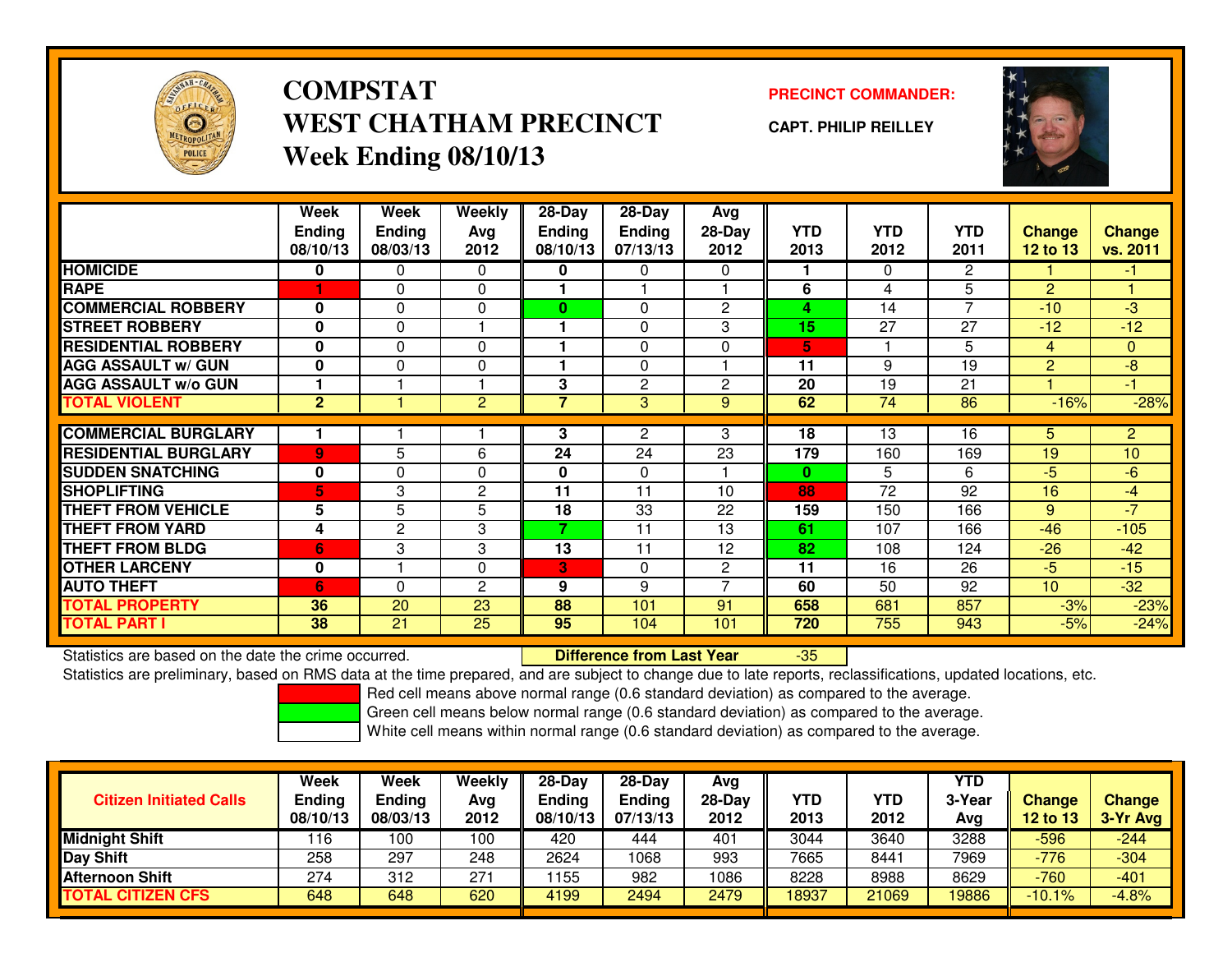

### **COMPSTATWEST CHATHAM PRECINCTWeek Ending 08/10/13**

### **PRECINCT COMMANDER:**

**CAPT. PHILIP REILLEY**



|                             | Week<br><b>Ending</b><br>08/10/13 | Week<br><b>Ending</b><br>08/03/13 | Weekly<br>Ava<br>2012 | 28-Day<br><b>Ending</b><br>08/10/13 | $28$ -Day<br><b>Ending</b><br>07/13/13 | Avg<br>$28-Day$<br>2012 | <b>YTD</b><br>2013 | <b>YTD</b><br>2012 | <b>YTD</b><br>2011 | <b>Change</b><br>12 to 13 | Change<br>vs. 2011 |
|-----------------------------|-----------------------------------|-----------------------------------|-----------------------|-------------------------------------|----------------------------------------|-------------------------|--------------------|--------------------|--------------------|---------------------------|--------------------|
| <b>HOMICIDE</b>             | 0                                 | $\Omega$                          | $\Omega$              | 0                                   | 0                                      | $\Omega$                |                    | $\Omega$           | $\overline{2}$     |                           | $-1$               |
| <b>RAPE</b>                 |                                   | 0                                 | $\Omega$              |                                     |                                        |                         | 6                  | 4                  | 5                  | $\overline{2}$            |                    |
| <b>COMMERCIAL ROBBERY</b>   | $\bf{0}$                          | $\Omega$                          | $\Omega$              | 0                                   | $\Omega$                               | $\overline{2}$          | 4                  | 14                 | 7                  | $-10$                     | $-3$               |
| <b>STREET ROBBERY</b>       | $\bf{0}$                          | 0                                 |                       |                                     | 0                                      | 3                       | 15                 | 27                 | 27                 | $-12$                     | $-12$              |
| <b>RESIDENTIAL ROBBERY</b>  | $\bf{0}$                          | $\Omega$                          | $\Omega$              |                                     | $\Omega$                               | $\Omega$                | 5.                 |                    | 5                  | $\overline{4}$            | $\mathbf{0}$       |
| <b>AGG ASSAULT w/ GUN</b>   | $\bf{0}$                          | 0                                 | $\Omega$              |                                     | 0                                      |                         | 11                 | 9                  | 19                 | $\overline{2}$            | $-8$               |
| <b>AGG ASSAULT w/o GUN</b>  |                                   |                                   |                       | 3                                   | 2                                      | $\mathbf{2}$            | 20                 | 19                 | 21                 |                           | $-1$               |
| <b>TOTAL VIOLENT</b>        | 2 <sup>1</sup>                    |                                   | 2                     | 7                                   | 3                                      | 9                       | 62                 | 74                 | 86                 | $-16%$                    | $-28%$             |
|                             |                                   |                                   |                       |                                     |                                        |                         |                    |                    |                    |                           |                    |
| <b>COMMERCIAL BURGLARY</b>  |                                   |                                   |                       | 3                                   | 2                                      | 3                       | 18                 | 13                 | 16                 | 5.                        | 2                  |
| <b>RESIDENTIAL BURGLARY</b> | 9                                 | 5                                 | 6                     | 24                                  | 24                                     | $2\overline{3}$         | 179                | 160                | 169                | 19                        | 10                 |
| <b>SUDDEN SNATCHING</b>     | $\mathbf{0}$                      | 0                                 | $\Omega$              | 0                                   | 0                                      |                         | $\bf{0}$           | 5                  | 6                  | -5                        | $-6$               |
| <b>SHOPLIFTING</b>          | 5.                                | 3                                 | $\mathbf{2}$          | 11                                  | 11                                     | 10                      | 88                 | 72                 | 92                 | 16                        | $-4$               |
| <b>THEFT FROM VEHICLE</b>   | 5                                 | 5                                 | 5                     | 18                                  | 33                                     | 22                      | 159                | 150                | 166                | 9                         | $-7$               |
| <b>THEFT FROM YARD</b>      | 4                                 | 2                                 | 3                     | 7                                   | 11                                     | 13                      | 61                 | 107                | 166                | $-46$                     | $-105$             |
| <b>THEFT FROM BLDG</b>      | 6                                 | 3                                 | 3                     | 13                                  | 11                                     | 12                      | 82                 | 108                | 124                | $-26$                     | $-42$              |
| <b>OTHER LARCENY</b>        | 0                                 |                                   | $\Omega$              | 3                                   | $\Omega$                               | $\mathbf{2}$            | 11                 | 16                 | 26                 | $-5$                      | $-15$              |
| <b>AUTO THEFT</b>           | 6                                 | $\Omega$                          | $\overline{2}$        | 9                                   | 9                                      |                         | 60                 | 50                 | 92                 | 10                        | $-32$              |
| <b>TOTAL PROPERTY</b>       | 36                                | 20                                | 23                    | 88                                  | 101                                    | 91                      | 658                | 681                | 857                | $-3%$                     | $-23%$             |
| <b>TOTAL PART I</b>         | 38                                | 21                                | 25                    | 95                                  | 104                                    | 101                     | 720                | 755                | 943                | $-5%$                     | $-24%$             |

Statistics are based on the date the crime occurred. **Difference from Last Year** 

Statistics are based on the date the crime occurred.<br>Statistics are preliminary, based on RMS data at the time prepared, and are subject to change due to late reports, reclassifications, updated locations, etc.

Red cell means above normal range (0.6 standard deviation) as compared to the average.

Green cell means below normal range (0.6 standard deviation) as compared to the average.

| <b>Citizen Initiated Calls</b> | Week<br><b>Ending</b><br>08/10/13 | Week<br><b>Ending</b><br>08/03/13 | Weekly<br>Avg<br>2012 | $28-Day$<br>Ending<br>08/10/13 | $28-Day$<br><b>Ending</b><br>07/13/13 | Avg<br>28-Day<br>2012 | YTD<br>2013 | YTD<br>2012 | <b>YTD</b><br>3-Year<br>Avg | <b>Change</b><br>12 to 13 | <b>Change</b><br>3-Yr Avg |
|--------------------------------|-----------------------------------|-----------------------------------|-----------------------|--------------------------------|---------------------------------------|-----------------------|-------------|-------------|-----------------------------|---------------------------|---------------------------|
| <b>Midnight Shift</b>          | 116                               | 100                               | 100                   | 420                            | 444                                   | 401                   | 3044        | 3640        | 3288                        | $-596$                    | $-244$                    |
| <b>Day Shift</b>               | 258                               | 297                               | 248                   | 2624                           | 1068                                  | 993                   | 7665        | 8441        | 7969                        | $-776$                    | $-304$                    |
| <b>Afternoon Shift</b>         | 274                               | 312                               | 271                   | 1155                           | 982                                   | 1086                  | 8228        | 8988        | 8629                        | $-760$                    | $-401$                    |
| <b>TOTAL CITIZEN CFS</b>       | 648                               | 648                               | 620                   | 4199                           | 2494                                  | 2479                  | 18937       | 21069       | 19886                       | $-10.1%$                  | $-4.8%$                   |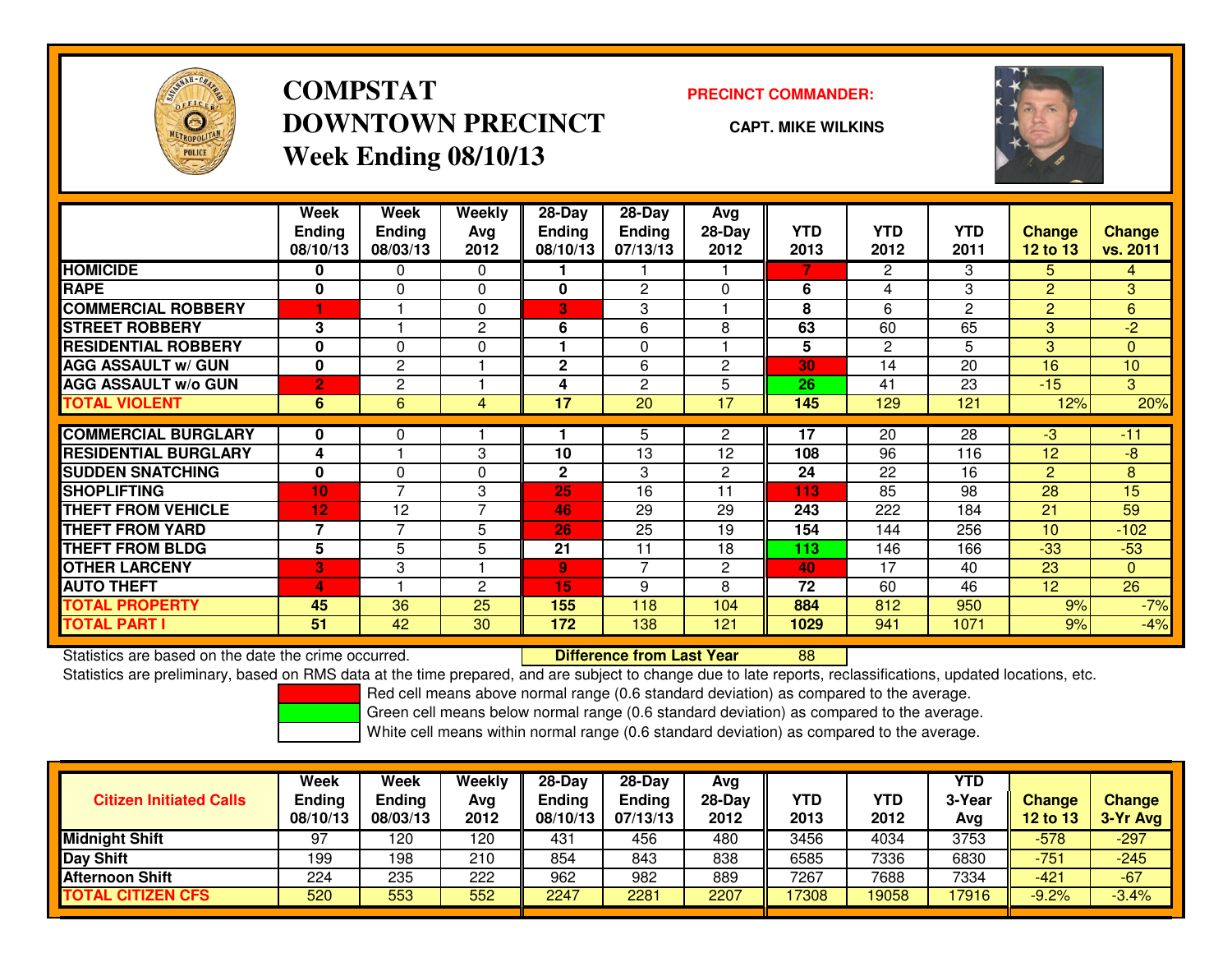

## **COMPSTATDOWNTOWN PRECINCTWeek Ending 08/10/13**

#### **PRECINCT COMMANDER:**

**CAPT. MIKE WILKINS**



|                             | Week<br><b>Ending</b><br>08/10/13 | Week<br><b>Ending</b><br>08/03/13 | Weekly<br>Ava<br>2012 | $28 - Day$<br><b>Ending</b><br>08/10/13 | $28 - Day$<br><b>Ending</b><br>07/13/13 | Avg<br>$28-Day$<br>2012 | <b>YTD</b><br>2013 | <b>YTD</b><br>2012 | <b>YTD</b><br>2011 | <b>Change</b><br>12 to 13 | <b>Change</b><br>vs. 2011 |
|-----------------------------|-----------------------------------|-----------------------------------|-----------------------|-----------------------------------------|-----------------------------------------|-------------------------|--------------------|--------------------|--------------------|---------------------------|---------------------------|
| <b>HOMICIDE</b>             | 0                                 | 0                                 | 0                     |                                         |                                         |                         | 7                  | 2                  | 3                  | 5                         | $\overline{4}$            |
| <b>RAPE</b>                 | 0                                 | 0                                 | $\mathbf{0}$          | 0                                       | $\overline{2}$                          | 0                       | 6                  | 4                  | 3                  | $\overline{2}$            | 3                         |
| <b>COMMERCIAL ROBBERY</b>   |                                   |                                   | $\Omega$              | 3                                       | 3                                       |                         | 8                  | 6                  | 2                  | 2                         | 6                         |
| <b>STREET ROBBERY</b>       | 3                                 |                                   | 2                     | 6                                       | 6                                       | 8                       | 63                 | 60                 | 65                 | 3                         | $-2$                      |
| <b>RESIDENTIAL ROBBERY</b>  | 0                                 | 0                                 | $\Omega$              |                                         | $\Omega$                                |                         | 5                  | $\overline{2}$     | 5                  | 3                         | $\Omega$                  |
| <b>AGG ASSAULT w/ GUN</b>   | $\bf{0}$                          | 2                                 |                       | $\mathbf{2}$                            | 6                                       | 2                       | 30                 | 14                 | 20                 | 16                        | 10                        |
| <b>AGG ASSAULT w/o GUN</b>  | $\overline{2}$                    | 2                                 |                       | 4                                       | 2                                       | 5                       | 26                 | 41                 | 23                 | $-15$                     | 3                         |
| <b>TOTAL VIOLENT</b>        | 6                                 | 6                                 | $\overline{4}$        | 17                                      | $\overline{20}$                         | 17                      | 145                | 129                | 121                | 12%                       | 20%                       |
|                             |                                   |                                   |                       |                                         |                                         |                         |                    |                    |                    |                           |                           |
| <b>COMMERCIAL BURGLARY</b>  | 0                                 | 0                                 |                       |                                         | 5                                       | $\mathbf{2}$            | 17                 | 20                 | 28                 | $-3$                      | $-11$                     |
| <b>RESIDENTIAL BURGLARY</b> | 4                                 |                                   | 3                     | 10                                      | 13                                      | 12                      | 108                | 96                 | 116                | 12                        | -8                        |
| <b>SUDDEN SNATCHING</b>     | $\bf{0}$                          | $\Omega$                          | $\Omega$              | $\mathbf{2}$                            | 3                                       | 2                       | 24                 | 22                 | 16                 | $\overline{2}$            | 8                         |
| <b>SHOPLIFTING</b>          | 10                                | 7                                 | 3                     | 25                                      | 16                                      | 11                      | 113                | 85                 | 98                 | 28                        | 15                        |
| <b>THEFT FROM VEHICLE</b>   | 12                                | 12                                | 7                     | 46                                      | 29                                      | 29                      | 243                | 222                | 184                | 21                        | 59                        |
| THEFT FROM YARD             | 7                                 | $\overline{7}$                    | 5                     | 26                                      | 25                                      | 19                      | 154                | 144                | 256                | 10 <sup>1</sup>           | $-102$                    |
| <b>THEFT FROM BLDG</b>      | 5                                 | 5                                 | 5                     | 21                                      | 11                                      | 18                      | 113                | 146                | 166                | $-33$                     | $-53$                     |
| <b>OTHER LARCENY</b>        | 3                                 | 3                                 |                       | 9                                       | $\overline{7}$                          | $\overline{2}$          | 40                 | 17                 | 40                 | 23                        | $\Omega$                  |
| <b>AUTO THEFT</b>           | 4                                 |                                   | 2                     | 15                                      | 9                                       | 8                       | 72                 | 60                 | 46                 | 12 <sup>2</sup>           | 26                        |
| <b>TOTAL PROPERTY</b>       | 45                                | 36                                | 25                    | 155                                     | 118                                     | 104                     | 884                | 812                | 950                | 9%                        | $-7%$                     |
| <b>TOTAL PART I</b>         | 51                                | 42                                | 30                    | 172                                     | 138                                     | 121                     | 1029               | 941                | 1071               | 9%                        | $-4%$                     |

Statistics are based on the date the crime occurred. **Difference from Last Year** 

Statistics are based on the date the crime occurred. **Internement of the Universe of Constance from Last Year**<br>Statistics are preliminary, based on RMS data at the time prepared, and are subject to change due to late repor

Red cell means above normal range (0.6 standard deviation) as compared to the average.

Green cell means below normal range (0.6 standard deviation) as compared to the average.

| <b>Citizen Initiated Calls</b> | Week<br><b>Ending</b><br>08/10/13 | Week<br><b>Ending</b><br>08/03/13 | Weekly<br>Avg<br>2012 | $28-Dav$<br><b>Endina</b><br>08/10/13 | $28-Dav$<br><b>Ending</b><br>07/13/13 | Avg<br>28-Day<br>2012 | YTD<br>2013 | YTD<br>2012 | <b>YTD</b><br>3-Year<br>Ava | <b>Change</b><br><b>12 to 13</b> | <b>Change</b><br>3-Yr Avg |
|--------------------------------|-----------------------------------|-----------------------------------|-----------------------|---------------------------------------|---------------------------------------|-----------------------|-------------|-------------|-----------------------------|----------------------------------|---------------------------|
| <b>Midnight Shift</b>          | 97                                | 20                                | 120                   | 431                                   | 456                                   | 480                   | 3456        | 4034        | 3753                        | $-578$                           | $-297$                    |
| Day Shift                      | 199                               | 198                               | 210                   | 854                                   | 843                                   | 838                   | 6585        | 7336        | 6830                        | -751                             | $-245$                    |
| <b>Afternoon Shift</b>         | 224                               | 235                               | 222                   | 962                                   | 982                                   | 889                   | 7267        | 7688        | 7334                        | $-421$                           | $-67$                     |
| <b>TOTAL CITIZEN CFS</b>       | 520                               | 553                               | 552                   | 2247                                  | 2281                                  | 2207                  | 17308       | 19058       | 17916                       | $-9.2%$                          | $-3.4%$                   |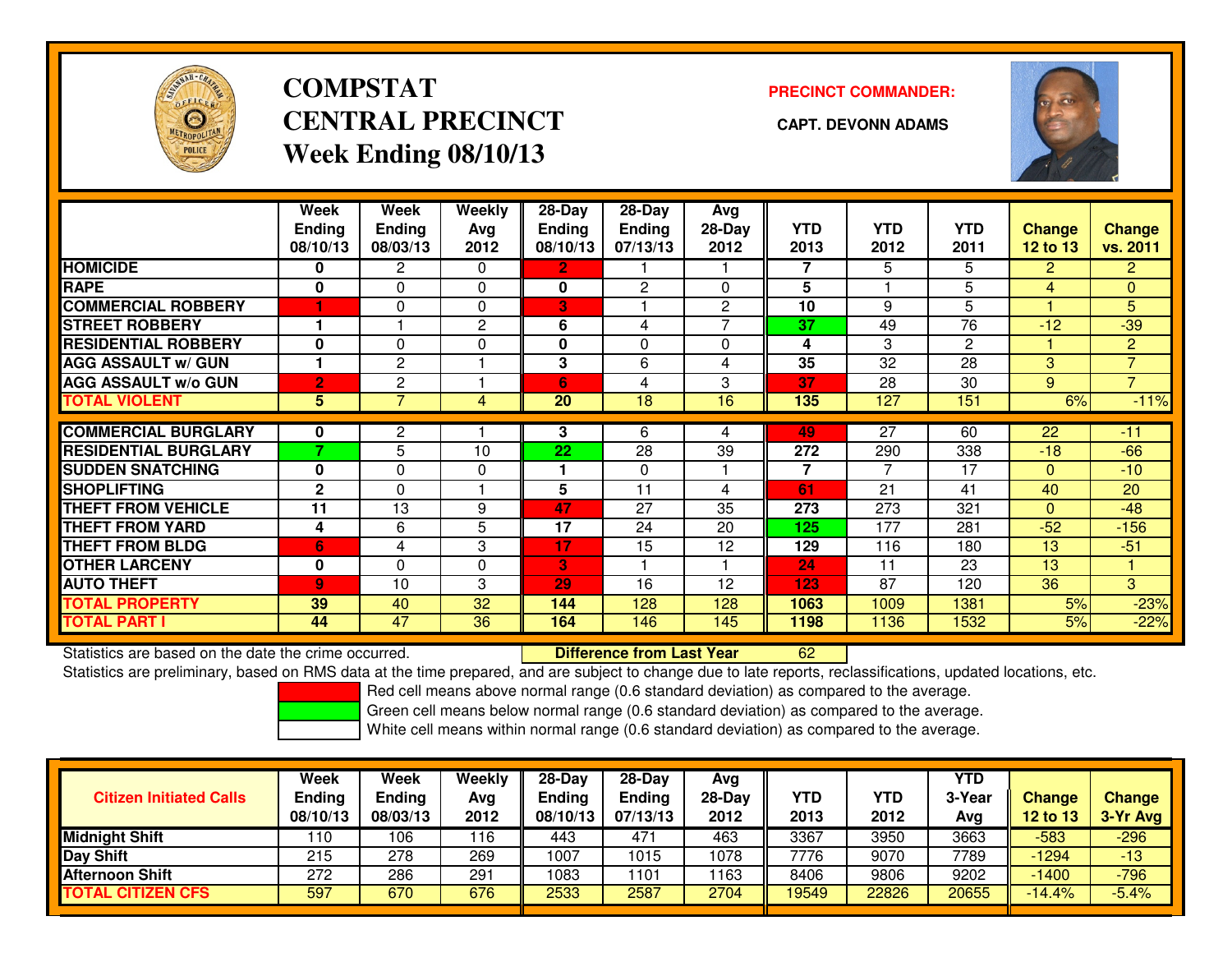

### **COMPSTATCENTRAL PRECINCT CAPT. DEVONN ADAMSWeek Ending 08/10/13**

### **PRECINCT COMMANDER:**



|                             | Week           | <b>Week</b>    | Weekly   | 28-Day        | $28$ -Day      | Avg            |            |                 |                |                 |                |
|-----------------------------|----------------|----------------|----------|---------------|----------------|----------------|------------|-----------------|----------------|-----------------|----------------|
|                             | <b>Ending</b>  | <b>Ending</b>  | Avg      | <b>Ending</b> | <b>Ending</b>  | 28-Day         | <b>YTD</b> | <b>YTD</b>      | <b>YTD</b>     | <b>Change</b>   | <b>Change</b>  |
|                             | 08/10/13       | 08/03/13       | 2012     | 08/10/13      | 07/13/13       | 2012           | 2013       | 2012            | 2011           | <b>12 to 13</b> | vs. 2011       |
| <b>HOMICIDE</b>             | 0              | 2              | 0        | 2             |                |                | 7          | 5               | 5              | $\overline{2}$  | $\overline{2}$ |
| <b>RAPE</b>                 | 0              | $\Omega$       | 0        | 0             | $\overline{c}$ | $\Omega$       | 5          |                 | 5              | 4               | 0              |
| <b>COMMERCIAL ROBBERY</b>   | 1              | $\Omega$       | $\Omega$ | 3             |                | $\overline{c}$ | 10         | 9               | 5              |                 | 5              |
| <b>STREET ROBBERY</b>       |                |                | 2        | 6             | 4              | ⇁              | 37         | 49              | 76             | $-12$           | $-39$          |
| <b>RESIDENTIAL ROBBERY</b>  | 0              | $\Omega$       | $\Omega$ | 0             | $\Omega$       | $\Omega$       | 4          | 3               | $\overline{2}$ |                 | $\overline{2}$ |
| <b>AGG ASSAULT w/ GUN</b>   |                | $\overline{2}$ |          | 3             | 6              | 4              | 35         | $\overline{32}$ | 28             | 3               | $\overline{7}$ |
| <b>AGG ASSAULT w/o GUN</b>  | $\overline{2}$ | 2              |          | 6             | 4              | 3              | 37         | 28              | 30             | 9               | $\overline{7}$ |
| <b>TOTAL VIOLENT</b>        | 5 <sup>5</sup> | $\overline{7}$ | 4        | 20            | 18             | 16             | 135        | 127             | 151            | 6%              | $-11%$         |
| <b>COMMERCIAL BURGLARY</b>  | 0              |                |          | 3             | 6              | 4              | 49         | 27              | 60             | 22              | $-11$          |
|                             | 7              | 2              |          |               |                |                |            |                 |                |                 |                |
| <b>RESIDENTIAL BURGLARY</b> |                | 5              | 10       | 22            | 28             | 39             | 272        | 290             | 338            | $-18$           | $-66$          |
| <b>SUDDEN SNATCHING</b>     | $\bf{0}$       | $\Omega$       | 0        |               | $\Omega$       |                | 7          | $\overline{7}$  | 17             | $\Omega$        | $-10$          |
| <b>SHOPLIFTING</b>          | $\mathbf{2}$   | $\Omega$       |          | 5             | 11             | 4              | 61         | 21              | 41             | 40              | 20             |
| <b>THEFT FROM VEHICLE</b>   | 11             | 13             | 9        | 47            | 27             | 35             | 273        | 273             | 321            | $\Omega$        | $-48$          |
| <b>THEFT FROM YARD</b>      | 4              | 6              | 5        | 17            | 24             | 20             | 125        | 177             | 281            | $-52$           | $-156$         |
| <b>THEFT FROM BLDG</b>      | 6              | 4              | 3        | 17            | 15             | 12             | 129        | 116             | 180            | 13              | $-51$          |
| <b>OTHER LARCENY</b>        | 0              | $\Omega$       | 0        | 3             |                |                | 24         | 11              | 23             | 13              |                |
| <b>AUTO THEFT</b>           | 9              | 10             | 3        | 29            | 16             | 12             | 123        | 87              | 120            | 36              | 3              |
| <b>TOTAL PROPERTY</b>       | 39             | 40             | 32       | 144           | 128            | 128            | 1063       | 1009            | 1381           | 5%              | $-23%$         |
| <b>TOTAL PART I</b>         | 44             | 47             | 36       | 164           | 146            | 145            | 1198       | 1136            | 1532           | 5%              | $-22%$         |

Statistics are based on the date the crime occurred. **Difference from Last Year** 

Statistics are preliminary, based on RMS data at the time prepared, and are subject to change due to late reports, reclassifications, updated locations, etc.

Red cell means above normal range (0.6 standard deviation) as compared to the average.

Green cell means below normal range (0.6 standard deviation) as compared to the average.

<sup>62</sup>

| <b>Citizen Initiated Calls</b> | Week<br>Ending<br>08/10/13 | Week<br>Ending<br>08/03/13 | Weekly<br>Avg<br>2012 | $28-Day$<br><b>Ending</b><br>08/10/13 | $28 - Day$<br><b>Ending</b><br>07/13/13 | Avg<br>28-Day<br>2012 | YTD<br>2013 | YTD<br>2012 | <b>YTD</b><br>3-Year<br>Avg | Change<br><b>12 to 13</b> | <b>Change</b><br>3-Yr Avg |
|--------------------------------|----------------------------|----------------------------|-----------------------|---------------------------------------|-----------------------------------------|-----------------------|-------------|-------------|-----------------------------|---------------------------|---------------------------|
| <b>Midnight Shift</b>          | 110                        | 106                        | 16                    | 443                                   | 471                                     | 463                   | 3367        | 3950        | 3663                        | $-583$                    | $-296$                    |
| Day Shift                      | 215                        | 278                        | 269                   | 1007                                  | 1015                                    | 1078                  | 7776        | 9070        | 7789                        | $-1294$                   | -13                       |
| <b>Afternoon Shift</b>         | 272                        | 286                        | 291                   | 1083                                  | 101                                     | 1163                  | 8406        | 9806        | 9202                        | $-1400$                   | $-796$                    |
| <b>TOTAL CITIZEN CFS</b>       | 597                        | 670                        | 676                   | 2533                                  | 2587                                    | 2704                  | 19549       | 22826       | 20655                       | $-14.4%$                  | $-5.4%$                   |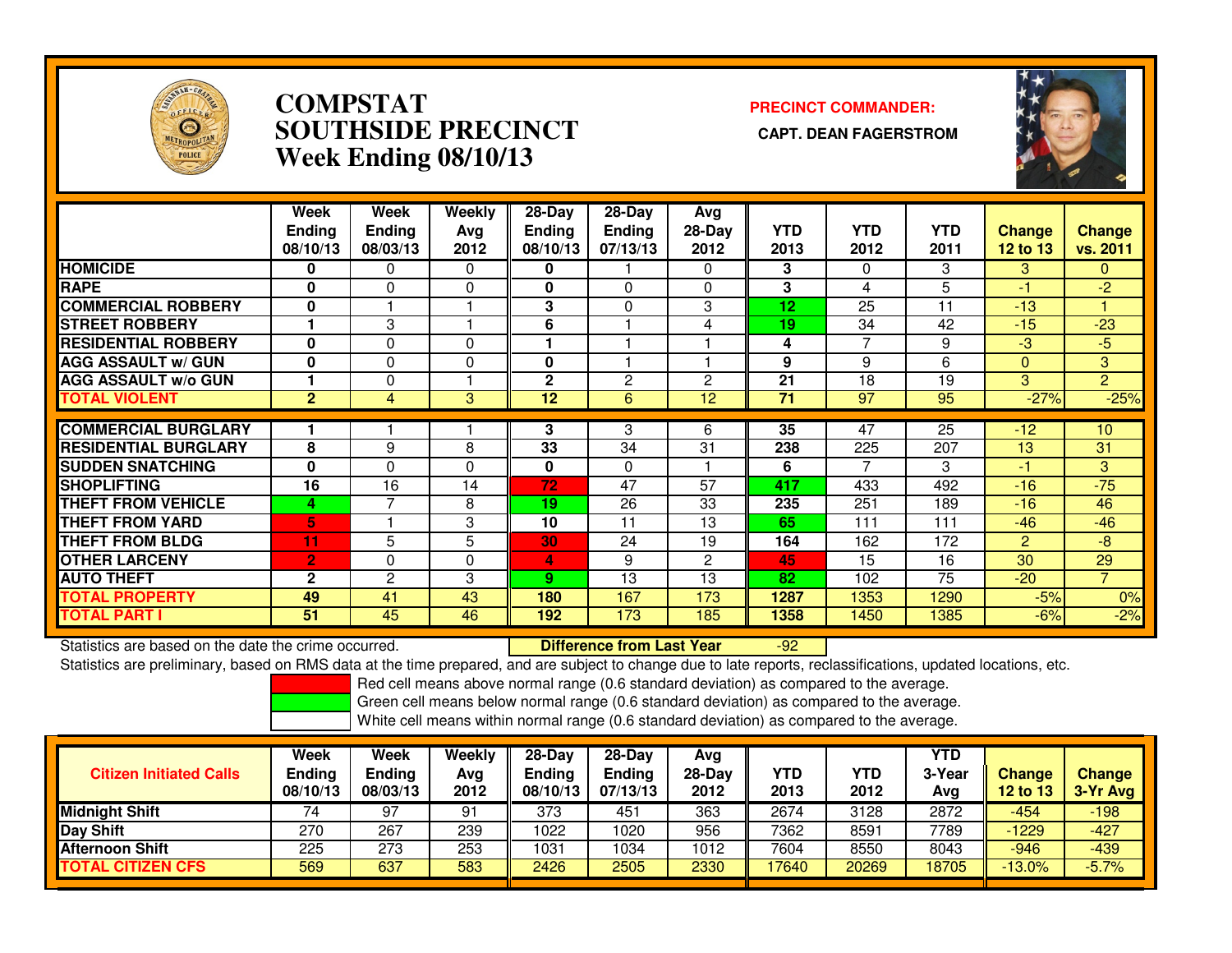

### **COMPSTAT PRECINCT COMMANDER: SOUTHSIDE PRECINCT CAPT. DEAN FAGERSTROMWeek Ending 08/10/13**



|                             | Week<br><b>Ending</b><br>08/10/13 | Week<br><b>Ending</b><br>08/03/13 | Weekly<br>Avg<br>2012 | $28-Day$<br>Ending<br>08/10/13 | $28-Day$<br><b>Ending</b><br>07/13/13 | Avg<br>$28-Day$<br>2012 | <b>YTD</b><br>2013 | <b>YTD</b><br>2012 | <b>YTD</b><br>2011 | <b>Change</b><br>12 to 13 | <b>Change</b><br>vs. 2011 |
|-----------------------------|-----------------------------------|-----------------------------------|-----------------------|--------------------------------|---------------------------------------|-------------------------|--------------------|--------------------|--------------------|---------------------------|---------------------------|
| <b>HOMICIDE</b>             | 0                                 | 0                                 | 0                     | 0                              |                                       | $\Omega$                | 3                  | $\Omega$           | 3                  | 3                         | $\Omega$                  |
| <b>RAPE</b>                 | 0                                 | 0                                 | 0                     | 0                              | 0                                     | $\mathbf{0}$            | 3                  | 4                  | 5                  | -1                        | $-2$                      |
| <b>ICOMMERCIAL ROBBERY</b>  | 0                                 |                                   |                       | 3                              | $\Omega$                              | 3                       | 12                 | 25                 | 11                 | $-13$                     |                           |
| <b>STREET ROBBERY</b>       |                                   | 3                                 |                       | 6                              |                                       | 4                       | 19                 | 34                 | 42                 | $-15$                     | $-23$                     |
| <b>RESIDENTIAL ROBBERY</b>  | $\Omega$                          | 0                                 | $\mathbf{0}$          |                                |                                       |                         | 4                  | 7                  | 9                  | -3                        | $-5$                      |
| <b>AGG ASSAULT w/ GUN</b>   | O                                 | 0                                 | $\Omega$              | O                              |                                       |                         | 9                  | 9                  | 6                  | $\Omega$                  | 3                         |
| <b>AGG ASSAULT w/o GUN</b>  |                                   | 0                                 |                       | $\mathbf 2$                    | 2                                     | 2                       | 21                 | 18                 | 19                 | 3                         | $\overline{2}$            |
| <b>TOTAL VIOLENT</b>        | $\mathbf{2}$                      | 4                                 | 3                     | 12                             | 6                                     | 12                      | 71                 | 97                 | 95                 | $-27%$                    | $-25%$                    |
| <b>COMMERCIAL BURGLARY</b>  |                                   |                                   |                       | 3                              | 3                                     | 6                       | 35                 | 47                 | 25                 | $-12$                     | 10 <sup>°</sup>           |
| <b>RESIDENTIAL BURGLARY</b> | 8                                 | 9                                 | 8                     | 33                             | 34                                    | 31                      | 238                | 225                | 207                | 13                        | 31                        |
| <b>SUDDEN SNATCHING</b>     | 0                                 | 0                                 | $\Omega$              | 0                              | $\Omega$                              |                         | 6                  | 7                  | 3                  | -1                        | 3                         |
| <b>SHOPLIFTING</b>          | 16                                | 16                                | 14                    | 72                             | 47                                    | 57                      | 417                | 433                | 492                | $-16$                     | $-75$                     |
| <b>THEFT FROM VEHICLE</b>   | 4                                 | $\overline{ }$                    | 8                     | 19                             | 26                                    | 33                      | 235                | 251                | 189                | $-16$                     | 46                        |
|                             |                                   |                                   |                       |                                |                                       |                         |                    |                    |                    |                           |                           |
| <b>THEFT FROM YARD</b>      | 5                                 |                                   | 3                     | 10                             | 11                                    | 13                      | 65                 | 111                | 111                | $-46$                     | $-46$                     |
| <b>THEFT FROM BLDG</b>      | 11                                | 5                                 | 5                     | 30                             | 24                                    | 19                      | 164                | 162                | 172                | $\overline{2}$            | $-8$                      |
| <b>OTHER LARCENY</b>        | 2                                 | 0                                 | $\mathbf{0}$          | 4                              | 9                                     | 2                       | 45                 | 15                 | 16                 | 30                        | 29                        |
| <b>AUTO THEFT</b>           | $\mathbf{2}$                      | $\overline{c}$                    | 3                     | 9.                             | 13                                    | 13                      | 82                 | 102                | 75                 | $-20$                     | $\overline{7}$            |
| <b>TOTAL PROPERTY</b>       | 49                                | 41                                | 43                    | 180                            | 167                                   | 173                     | 1287               | 1353               | 1290               | $-5%$                     | 0%                        |
| <b>TOTAL PART I</b>         | 51                                | 45                                | 46                    | 192                            | 173                                   | 185                     | 1358               | 1450               | 1385               | $-6%$                     | $-2%$                     |

Statistics are based on the date the crime occurred. **Difference from Last Year** Statistics are based on the date the crime occurred. **Externee the Lub of Liberty Cast Year Masked Statistics** are based on the date trime occurred.<br>Statistics are preliminary, based on RMS data at the time prepared, and a

Red cell means above normal range (0.6 standard deviation) as compared to the average.

Green cell means below normal range (0.6 standard deviation) as compared to the average.

| <b>Citizen Initiated Calls</b> | Week<br><b>Ending</b><br>08/10/13 | Week<br>Ending<br>08/03/13 | Weekly<br>Avg<br>2012 | 28-Dav<br>Ending<br>08/10/13 | $28-Dav$<br><b>Ending</b><br>07/13/13 | Avg<br>$28-Day$<br>2012 | <b>YTD</b><br>2013 | YTD<br>2012 | <b>YTD</b><br>3-Year<br>Avg | <b>Change</b><br>12 to 13 | <b>Change</b><br>3-Yr Avg |
|--------------------------------|-----------------------------------|----------------------------|-----------------------|------------------------------|---------------------------------------|-------------------------|--------------------|-------------|-----------------------------|---------------------------|---------------------------|
| <b>Midnight Shift</b>          |                                   | 97                         | 91                    | 373                          | 451                                   | 363                     | $26\overline{74}$  | 3128        | 2872                        | -454                      | $-198$                    |
| Day Shift                      | 270                               | 267                        | 239                   | 1022                         | 1020                                  | 956                     | 7362               | 8591        | 7789                        | $-1229$                   | $-427$                    |
| <b>Afternoon Shift</b>         | 225                               | 273                        | 253                   | 1031                         | 1034                                  | 1012                    | 7604               | 8550        | 8043                        | $-946$                    | $-439$                    |
| <b>CITIZEN CFS</b><br>ΤΟΤΑL    | 569                               | 637                        | 583                   | 2426                         | 2505                                  | 2330                    | 17640              | 20269       | 18705                       | $-13.0\%$                 | $-5.7%$                   |